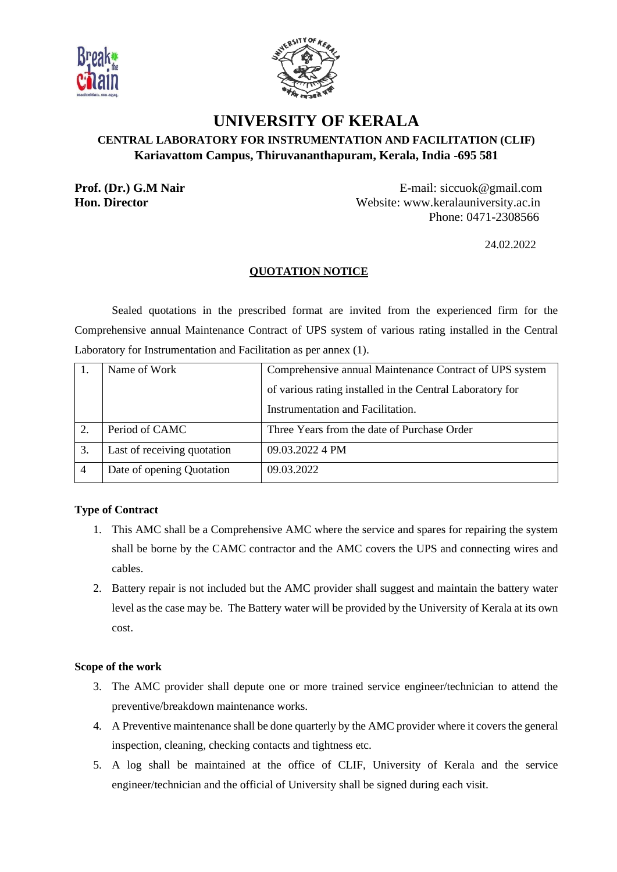



# **UNIVERSITY OF KERALA CENTRAL LABORATORY FOR INSTRUMENTATION AND FACILITATION (CLIF) Kariavattom Campus, Thiruvananthapuram, Kerala, India -695 581**

**Prof. (Dr.) G.M Nair E-mail: siccuok@gmail.com Hon. Director Website:** www.keralauniversity.ac.in Phone: 0471-2308566

24.02.2022

# **QUOTATION NOTICE**

Sealed quotations in the prescribed format are invited from the experienced firm for the Comprehensive annual Maintenance Contract of UPS system of various rating installed in the Central Laboratory for Instrumentation and Facilitation as per annex (1).

|    | Name of Work                | Comprehensive annual Maintenance Contract of UPS system   |  |
|----|-----------------------------|-----------------------------------------------------------|--|
|    |                             | of various rating installed in the Central Laboratory for |  |
|    |                             | Instrumentation and Facilitation.                         |  |
|    | Period of CAMC              | Three Years from the date of Purchase Order               |  |
| 3. | Last of receiving quotation | 09.03.2022 4 PM                                           |  |
|    | Date of opening Quotation   | 09.03.2022                                                |  |

# **Type of Contract**

- 1. This AMC shall be a Comprehensive AMC where the service and spares for repairing the system shall be borne by the CAMC contractor and the AMC covers the UPS and connecting wires and cables.
- 2. Battery repair is not included but the AMC provider shall suggest and maintain the battery water level as the case may be. The Battery water will be provided by the University of Kerala at its own cost.

## **Scope of the work**

- 3. The AMC provider shall depute one or more trained service engineer/technician to attend the preventive/breakdown maintenance works.
- 4. A Preventive maintenance shall be done quarterly by the AMC provider where it covers the general inspection, cleaning, checking contacts and tightness etc.
- 5. A log shall be maintained at the office of CLIF, University of Kerala and the service engineer/technician and the official of University shall be signed during each visit.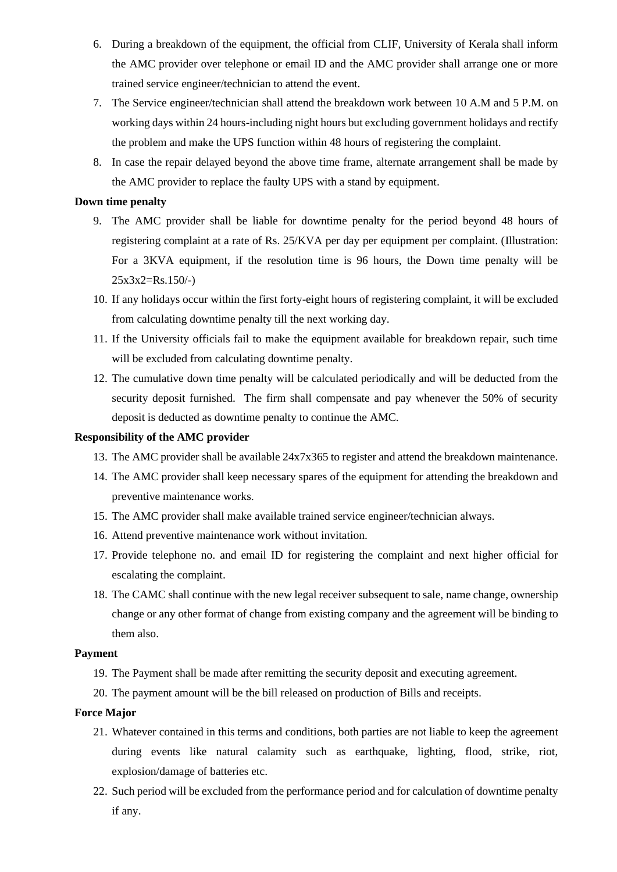- 6. During a breakdown of the equipment, the official from CLIF, University of Kerala shall inform the AMC provider over telephone or email ID and the AMC provider shall arrange one or more trained service engineer/technician to attend the event.
- 7. The Service engineer/technician shall attend the breakdown work between 10 A.M and 5 P.M. on working days within 24 hours-including night hours but excluding government holidays and rectify the problem and make the UPS function within 48 hours of registering the complaint.
- 8. In case the repair delayed beyond the above time frame, alternate arrangement shall be made by the AMC provider to replace the faulty UPS with a stand by equipment.

## **Down time penalty**

- 9. The AMC provider shall be liable for downtime penalty for the period beyond 48 hours of registering complaint at a rate of Rs. 25/KVA per day per equipment per complaint. (Illustration: For a 3KVA equipment, if the resolution time is 96 hours, the Down time penalty will be  $25x3x2=Rs.150/-$
- 10. If any holidays occur within the first forty-eight hours of registering complaint, it will be excluded from calculating downtime penalty till the next working day.
- 11. If the University officials fail to make the equipment available for breakdown repair, such time will be excluded from calculating downtime penalty.
- 12. The cumulative down time penalty will be calculated periodically and will be deducted from the security deposit furnished. The firm shall compensate and pay whenever the 50% of security deposit is deducted as downtime penalty to continue the AMC.

## **Responsibility of the AMC provider**

- 13. The AMC provider shall be available 24x7x365 to register and attend the breakdown maintenance.
- 14. The AMC provider shall keep necessary spares of the equipment for attending the breakdown and preventive maintenance works.
- 15. The AMC provider shall make available trained service engineer/technician always.
- 16. Attend preventive maintenance work without invitation.
- 17. Provide telephone no. and email ID for registering the complaint and next higher official for escalating the complaint.
- 18. The CAMC shall continue with the new legal receiver subsequent to sale, name change, ownership change or any other format of change from existing company and the agreement will be binding to them also.

#### **Payment**

- 19. The Payment shall be made after remitting the security deposit and executing agreement.
- 20. The payment amount will be the bill released on production of Bills and receipts.

#### **Force Major**

- 21. Whatever contained in this terms and conditions, both parties are not liable to keep the agreement during events like natural calamity such as earthquake, lighting, flood, strike, riot, explosion/damage of batteries etc.
- 22. Such period will be excluded from the performance period and for calculation of downtime penalty if any.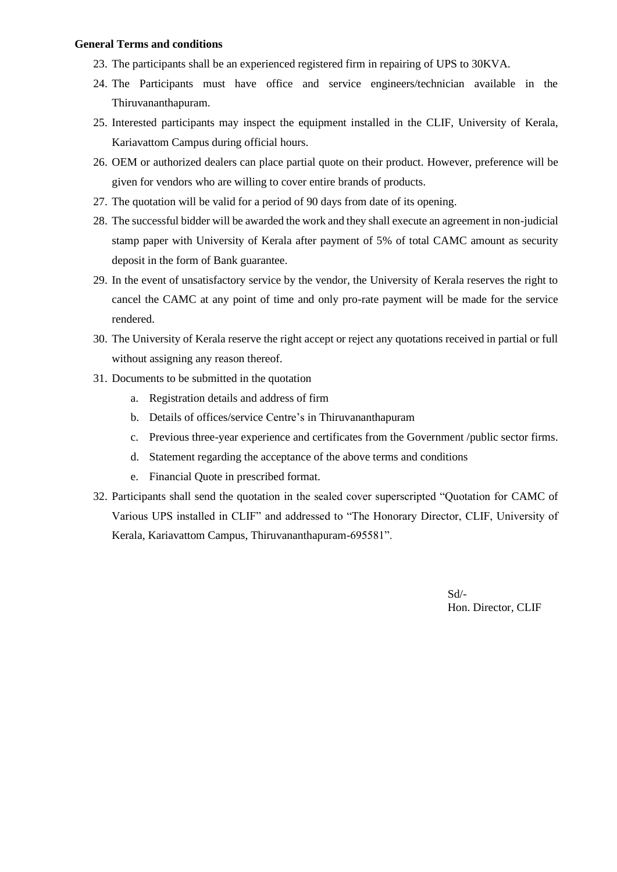#### **General Terms and conditions**

- 23. The participants shall be an experienced registered firm in repairing of UPS to 30KVA.
- 24. The Participants must have office and service engineers/technician available in the Thiruvananthapuram.
- 25. Interested participants may inspect the equipment installed in the CLIF, University of Kerala, Kariavattom Campus during official hours.
- 26. OEM or authorized dealers can place partial quote on their product. However, preference will be given for vendors who are willing to cover entire brands of products.
- 27. The quotation will be valid for a period of 90 days from date of its opening.
- 28. The successful bidder will be awarded the work and they shall execute an agreement in non-judicial stamp paper with University of Kerala after payment of 5% of total CAMC amount as security deposit in the form of Bank guarantee.
- 29. In the event of unsatisfactory service by the vendor, the University of Kerala reserves the right to cancel the CAMC at any point of time and only pro-rate payment will be made for the service rendered.
- 30. The University of Kerala reserve the right accept or reject any quotations received in partial or full without assigning any reason thereof.
- 31. Documents to be submitted in the quotation
	- a. Registration details and address of firm
	- b. Details of offices/service Centre's in Thiruvananthapuram
	- c. Previous three-year experience and certificates from the Government /public sector firms.
	- d. Statement regarding the acceptance of the above terms and conditions
	- e. Financial Quote in prescribed format.
- 32. Participants shall send the quotation in the sealed cover superscripted "Quotation for CAMC of Various UPS installed in CLIF" and addressed to "The Honorary Director, CLIF, University of Kerala, Kariavattom Campus, Thiruvananthapuram-695581".

Sd/- Hon. Director, CLIF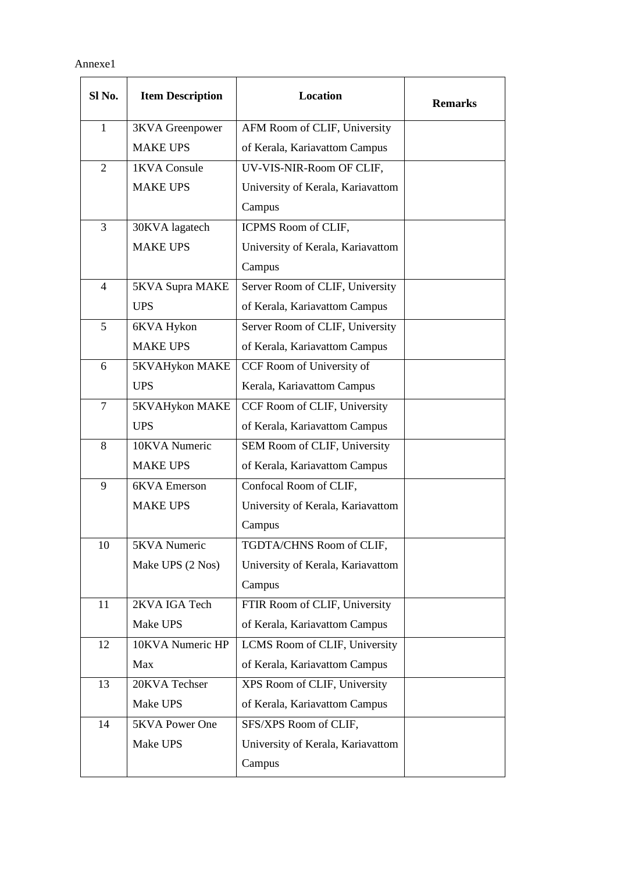Annexe1

| Sl No.         | <b>Item Description</b> | <b>Location</b>                   | <b>Remarks</b> |
|----------------|-------------------------|-----------------------------------|----------------|
| $\mathbf{1}$   | <b>3KVA</b> Greenpower  | AFM Room of CLIF, University      |                |
|                | <b>MAKE UPS</b>         | of Kerala, Kariavattom Campus     |                |
| 2              | 1KVA Consule            | UV-VIS-NIR-Room OF CLIF,          |                |
|                | <b>MAKE UPS</b>         | University of Kerala, Kariavattom |                |
|                |                         | Campus                            |                |
| $\overline{3}$ | 30KVA lagatech          | ICPMS Room of CLIF,               |                |
|                | <b>MAKE UPS</b>         | University of Kerala, Kariavattom |                |
|                |                         | Campus                            |                |
| 4              | 5KVA Supra MAKE         | Server Room of CLIF, University   |                |
|                | <b>UPS</b>              | of Kerala, Kariavattom Campus     |                |
| 5              | 6KVA Hykon              | Server Room of CLIF, University   |                |
|                | <b>MAKE UPS</b>         | of Kerala, Kariavattom Campus     |                |
| 6              | 5KVAHykon MAKE          | CCF Room of University of         |                |
|                | <b>UPS</b>              | Kerala, Kariavattom Campus        |                |
| 7              | 5KVAHykon MAKE          | CCF Room of CLIF, University      |                |
|                | <b>UPS</b>              | of Kerala, Kariavattom Campus     |                |
| 8              | 10KVA Numeric           | SEM Room of CLIF, University      |                |
|                | <b>MAKE UPS</b>         | of Kerala, Kariavattom Campus     |                |
| 9              | 6KVA Emerson            | Confocal Room of CLIF,            |                |
|                | <b>MAKE UPS</b>         | University of Kerala, Kariavattom |                |
|                |                         | Campus                            |                |
| 10             | 5KVA Numeric            | TGDTA/CHNS Room of CLIF,          |                |
|                | Make UPS (2 Nos)        | University of Kerala, Kariavattom |                |
|                |                         | Campus                            |                |
| 11             | 2KVA IGA Tech           | FTIR Room of CLIF, University     |                |
|                | Make UPS                | of Kerala, Kariavattom Campus     |                |
| 12             | 10KVA Numeric HP        | LCMS Room of CLIF, University     |                |
|                | Max                     | of Kerala, Kariavattom Campus     |                |
| 13             | 20KVA Techser           | XPS Room of CLIF, University      |                |
|                | Make UPS                | of Kerala, Kariavattom Campus     |                |
| 14             | 5KVA Power One          | SFS/XPS Room of CLIF,             |                |
|                | Make UPS                | University of Kerala, Kariavattom |                |
|                |                         | Campus                            |                |